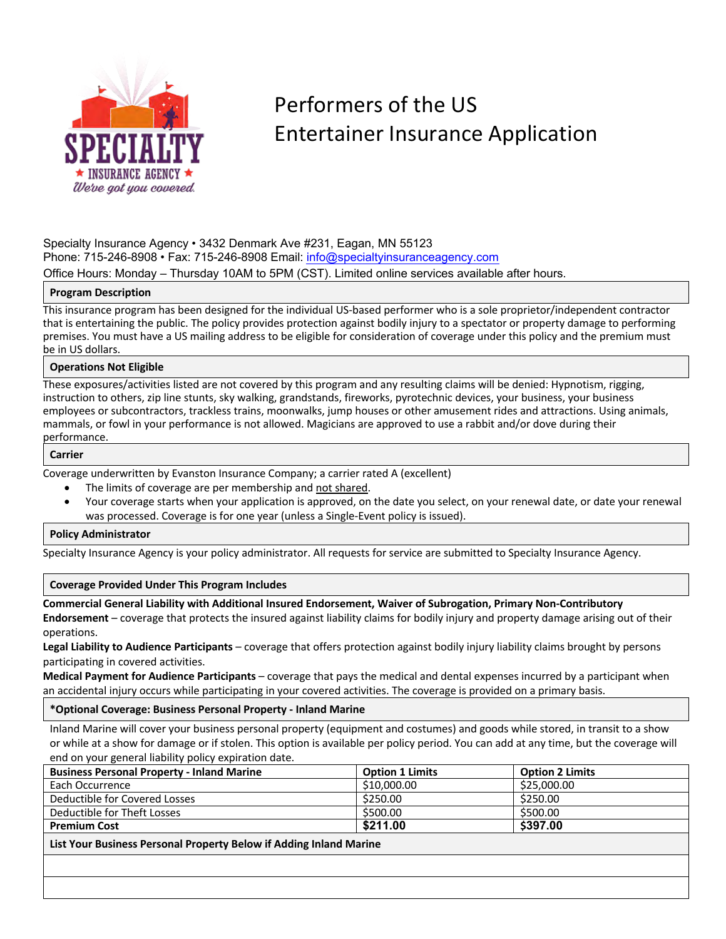

# Performers of the US Entertainer Insurance Application

Specialty Insurance Agency • 3432 Denmark Ave #231, Eagan, MN 55123 Phone: 715-246-8908 • Fax: 715-246-8908 Email: info@specialtyinsuranceagency.com Office Hours: Monday – Thursday 10AM to 5PM (CST). Limited online services available after hours.

## **Program Description**

This insurance program has been designed for the individual US-based performer who is a sole proprietor/independent contractor that is entertaining the public. The policy provides protection against bodily injury to a spectator or property damage to performing premises. You must have a US mailing address to be eligible for consideration of coverage under this policy and the premium must be in US dollars.

## **Operations Not Eligible**

These exposures/activities listed are not covered by this program and any resulting claims will be denied: Hypnotism, rigging, instruction to others, zip line stunts, sky walking, grandstands, fireworks, pyrotechnic devices, your business, your business employees or subcontractors, trackless trains, moonwalks, jump houses or other amusement rides and attractions. Using animals, mammals, or fowl in your performance is not allowed. Magicians are approved to use a rabbit and/or dove during their performance.

#### **Carrier**

Coverage underwritten by Evanston Insurance Company; a carrier rated A (excellent)

- The limits of coverage are per membership and not shared.
- Your coverage starts when your application is approved, on the date you select, on your renewal date, or date your renewal was processed. Coverage is for one year (unless a Single-Event policy is issued).

#### **Policy Administrator**

Specialty Insurance Agency is your policy administrator. All requests for service are submitted to Specialty Insurance Agency.

#### **Coverage Provided Under This Program Includes**

**Commercial General Liability with Additional Insured Endorsement, Waiver of Subrogation, Primary Non-Contributory** 

**Endorsement** – coverage that protects the insured against liability claims for bodily injury and property damage arising out of their operations.

**Legal Liability to Audience Participants** – coverage that offers protection against bodily injury liability claims brought by persons participating in covered activities.

**Medical Payment for Audience Participants** – coverage that pays the medical and dental expenses incurred by a participant when an accidental injury occurs while participating in your covered activities. The coverage is provided on a primary basis.

#### **\*Optional Coverage: Business Personal Property - Inland Marine**

Inland Marine will cover your business personal property (equipment and costumes) and goods while stored, in transit to a show or while at a show for damage or if stolen. This option is available per policy period. You can add at any time, but the coverage will end on your general liability policy expiration date.

| <b>Business Personal Property - Inland Marine</b>                  | <b>Option 1 Limits</b> | <b>Option 2 Limits</b> |  |  |
|--------------------------------------------------------------------|------------------------|------------------------|--|--|
| Each Occurrence                                                    | \$10,000.00            | \$25,000.00            |  |  |
| Deductible for Covered Losses                                      | \$250.00               | \$250.00               |  |  |
| Deductible for Theft Losses                                        | \$500.00               | \$500.00               |  |  |
| <b>Premium Cost</b>                                                | \$211.00               | \$397.00               |  |  |
| List Your Business Personal Property Below if Adding Inland Marine |                        |                        |  |  |
|                                                                    |                        |                        |  |  |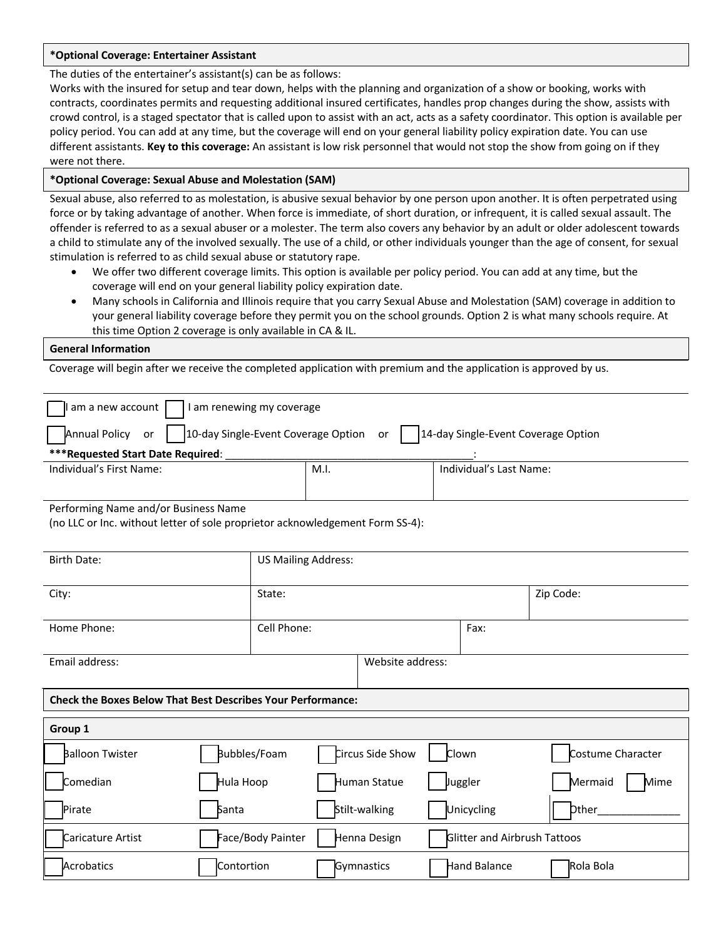#### **\*Optional Coverage: Entertainer Assistant**

The duties of the entertainer's assistant(s) can be as follows:

Works with the insured for setup and tear down, helps with the planning and organization of a show or booking, works with contracts, coordinates permits and requesting additional insured certificates, handles prop changes during the show, assists with crowd control, is a staged spectator that is called upon to assist with an act, acts as a safety coordinator. This option is available per policy period. You can add at any time, but the coverage will end on your general liability policy expiration date. You can use different assistants. **Key to this coverage:** An assistant is low risk personnel that would not stop the show from going on if they were not there.

### **\*Optional Coverage: Sexual Abuse and Molestation (SAM)**

Sexual abuse, also referred to as molestation, is abusive sexual behavior by one person upon another. It is often perpetrated using force or by taking advantage of another. When force is immediate, of short duration, or infrequent, it is called sexual assault. The offender is referred to as a sexual abuser or a molester. The term also covers any behavior by an adult or older adolescent towards a child to stimulate any of the involved sexually. The use of a child, or other individuals younger than the age of consent, for sexual stimulation is referred to as child sexual abuse or statutory rape.

- We offer two different coverage limits. This option is available per policy period. You can add at any time, but the coverage will end on your general liability policy expiration date.
- Many schools in California and Illinois require that you carry Sexual Abuse and Molestation (SAM) coverage in addition to your general liability coverage before they permit you on the school grounds. Option 2 is what many schools require. At this time Option 2 coverage is only available in CA & IL.

#### **General Information**

Coverage will begin after we receive the completed application with premium and the application is approved by us.

| am a new account<br>I am renewing my coverage                                                           |                            |      |                  |  |                              |                   |
|---------------------------------------------------------------------------------------------------------|----------------------------|------|------------------|--|------------------------------|-------------------|
| Annual Policy<br>10-day Single-Event Coverage Option<br>14-day Single-Event Coverage Option<br>or<br>or |                            |      |                  |  |                              |                   |
| ***Requested Start Date Required:                                                                       |                            |      |                  |  |                              |                   |
| Individual's First Name:                                                                                |                            | M.I. |                  |  | Individual's Last Name:      |                   |
|                                                                                                         |                            |      |                  |  |                              |                   |
| Performing Name and/or Business Name                                                                    |                            |      |                  |  |                              |                   |
| (no LLC or Inc. without letter of sole proprietor acknowledgement Form SS-4):                           |                            |      |                  |  |                              |                   |
|                                                                                                         |                            |      |                  |  |                              |                   |
|                                                                                                         | <b>US Mailing Address:</b> |      |                  |  |                              |                   |
| <b>Birth Date:</b>                                                                                      |                            |      |                  |  |                              |                   |
|                                                                                                         |                            |      |                  |  |                              |                   |
| City:                                                                                                   | State:                     |      |                  |  |                              | Zip Code:         |
|                                                                                                         |                            |      |                  |  |                              |                   |
| Home Phone:                                                                                             | Cell Phone:                |      |                  |  | Fax:                         |                   |
|                                                                                                         |                            |      |                  |  |                              |                   |
| Email address:                                                                                          |                            |      | Website address: |  |                              |                   |
|                                                                                                         |                            |      |                  |  |                              |                   |
|                                                                                                         |                            |      |                  |  |                              |                   |
| <b>Check the Boxes Below That Best Describes Your Performance:</b>                                      |                            |      |                  |  |                              |                   |
|                                                                                                         |                            |      |                  |  |                              |                   |
| Group 1                                                                                                 |                            |      |                  |  |                              |                   |
| Balloon Twister                                                                                         | Bubbles/Foam               |      | Circus Side Show |  | Clown                        | Costume Character |
| Comedian                                                                                                | Hula Hoop                  |      | Human Statue     |  | Juggler                      | Mermaid<br>Mime   |
|                                                                                                         |                            |      |                  |  |                              |                   |
| Pirate<br>Santa                                                                                         |                            |      | Stilt-walking    |  | Unicycling                   | bther             |
| Caricature Artist                                                                                       | Face/Body Painter          |      | Henna Design     |  | Glitter and Airbrush Tattoos |                   |
| Acrobatics                                                                                              | Contortion                 |      | Gymnastics       |  | Hand Balance                 | Rola Bola         |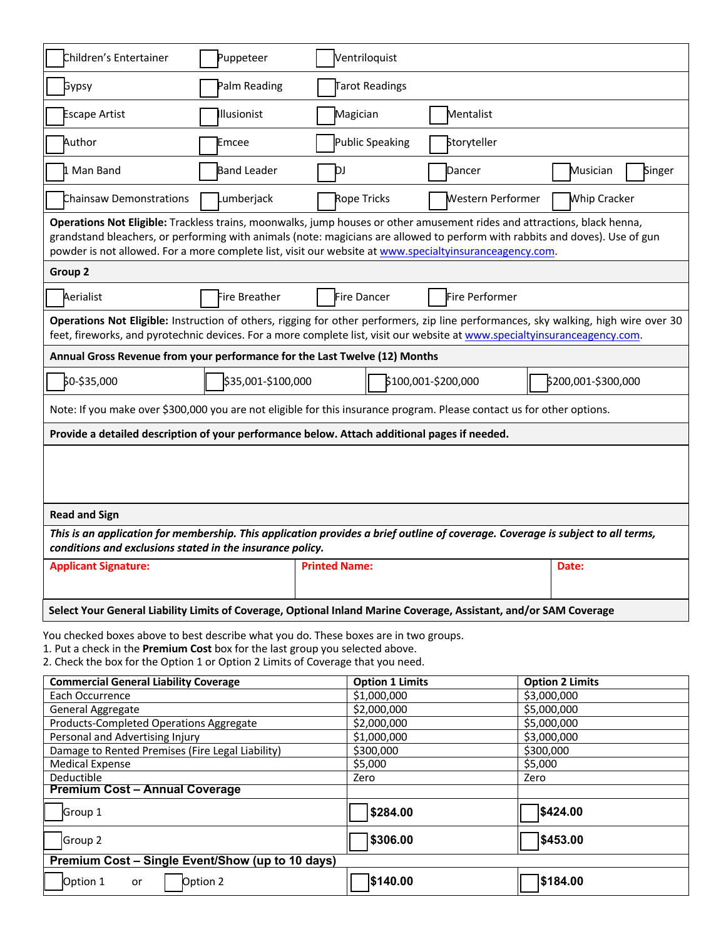| Children's Entertainer                                                                                                                                                                                                                                                                                                                                              | Puppeteer          |                      | Ventriloquist              |                     |             |                        |        |
|---------------------------------------------------------------------------------------------------------------------------------------------------------------------------------------------------------------------------------------------------------------------------------------------------------------------------------------------------------------------|--------------------|----------------------|----------------------------|---------------------|-------------|------------------------|--------|
| Gypsy                                                                                                                                                                                                                                                                                                                                                               | Palm Reading       |                      | Tarot Readings             |                     |             |                        |        |
| <b>Escape Artist</b>                                                                                                                                                                                                                                                                                                                                                | Illusionist        | Magician             |                            | Mentalist           |             |                        |        |
| Author                                                                                                                                                                                                                                                                                                                                                              | Emcee              |                      | Public Speaking            | Storyteller         |             |                        |        |
| 1 Man Band                                                                                                                                                                                                                                                                                                                                                          | <b>Band Leader</b> | ÞЈ                   |                            | Dancer              |             | Musician               | Singer |
| Chainsaw Demonstrations                                                                                                                                                                                                                                                                                                                                             | Lumberjack         |                      | Rope Tricks                | Western Performer   |             | <b>Whip Cracker</b>    |        |
| Operations Not Eligible: Trackless trains, moonwalks, jump houses or other amusement rides and attractions, black henna,<br>grandstand bleachers, or performing with animals (note: magicians are allowed to perform with rabbits and doves). Use of gun<br>powder is not allowed. For a more complete list, visit our website at www.specialtyinsuranceagency.com. |                    |                      |                            |                     |             |                        |        |
| Group 2                                                                                                                                                                                                                                                                                                                                                             |                    |                      |                            |                     |             |                        |        |
| Aerialist                                                                                                                                                                                                                                                                                                                                                           | Fire Breather      |                      | Fire Dancer                | Fire Performer      |             |                        |        |
| Operations Not Eligible: Instruction of others, rigging for other performers, zip line performances, sky walking, high wire over 30<br>feet, fireworks, and pyrotechnic devices. For a more complete list, visit our website at www.specialtyinsuranceagency.com.                                                                                                   |                    |                      |                            |                     |             |                        |        |
| Annual Gross Revenue from your performance for the Last Twelve (12) Months                                                                                                                                                                                                                                                                                          |                    |                      |                            |                     |             |                        |        |
| \$0-\$35,000                                                                                                                                                                                                                                                                                                                                                        | \$35,001-\$100,000 |                      |                            | \$100,001-\$200,000 |             | \$200,001-\$300,000    |        |
| Note: If you make over \$300,000 you are not eligible for this insurance program. Please contact us for other options.                                                                                                                                                                                                                                              |                    |                      |                            |                     |             |                        |        |
| Provide a detailed description of your performance below. Attach additional pages if needed.                                                                                                                                                                                                                                                                        |                    |                      |                            |                     |             |                        |        |
|                                                                                                                                                                                                                                                                                                                                                                     |                    |                      |                            |                     |             |                        |        |
| <b>Read and Sign</b>                                                                                                                                                                                                                                                                                                                                                |                    |                      |                            |                     |             |                        |        |
| This is an application for membership. This application provides a brief outline of coverage. Coverage is subject to all terms,<br>conditions and exclusions stated in the insurance policy.                                                                                                                                                                        |                    |                      |                            |                     |             |                        |        |
| <b>Applicant Signature:</b>                                                                                                                                                                                                                                                                                                                                         |                    | <b>Printed Name:</b> |                            |                     |             | Date:                  |        |
| Select Your General Liability Limits of Coverage, Optional Inland Marine Coverage, Assistant, and/or SAM Coverage                                                                                                                                                                                                                                                   |                    |                      |                            |                     |             |                        |        |
| You checked boxes above to best describe what you do. These boxes are in two groups.<br>1. Put a check in the Premium Cost box for the last group you selected above.<br>2. Check the box for the Option 1 or Option 2 Limits of Coverage that you need.                                                                                                            |                    |                      |                            |                     |             |                        |        |
| <b>Commercial General Liability Coverage</b>                                                                                                                                                                                                                                                                                                                        |                    |                      | <b>Option 1 Limits</b>     |                     |             | <b>Option 2 Limits</b> |        |
| Each Occurrence<br>General Aggregate                                                                                                                                                                                                                                                                                                                                |                    |                      | \$1,000,000<br>\$2,000,000 |                     | \$3,000,000 |                        |        |
| \$5,000,000<br><b>Products-Completed Operations Aggregate</b><br>\$2,000,000<br>\$5,000,000                                                                                                                                                                                                                                                                         |                    |                      |                            |                     |             |                        |        |
| \$3,000,000<br>Personal and Advertising Injury<br>\$1,000,000                                                                                                                                                                                                                                                                                                       |                    |                      |                            |                     |             |                        |        |
| Damage to Rented Premises (Fire Legal Liability)                                                                                                                                                                                                                                                                                                                    |                    |                      | \$300,000                  |                     | \$300,000   |                        |        |
| <b>Medical Expense</b>                                                                                                                                                                                                                                                                                                                                              |                    |                      | \$5,000                    |                     | \$5,000     |                        |        |
| Deductible                                                                                                                                                                                                                                                                                                                                                          |                    |                      | Zero                       |                     | Zero        |                        |        |
| <b>Premium Cost - Annual Coverage</b>                                                                                                                                                                                                                                                                                                                               |                    |                      |                            |                     |             |                        |        |
| Group 1                                                                                                                                                                                                                                                                                                                                                             |                    |                      | \$284.00                   |                     |             | \$424.00               |        |

| <b>Group 2</b>                                   | \$306.00 | \$453.00 |
|--------------------------------------------------|----------|----------|
| Premium Cost – Single Event/Show (up to 10 days) |          |          |
| Option 1<br>Option 2<br>or                       | \$140.00 | \$184.00 |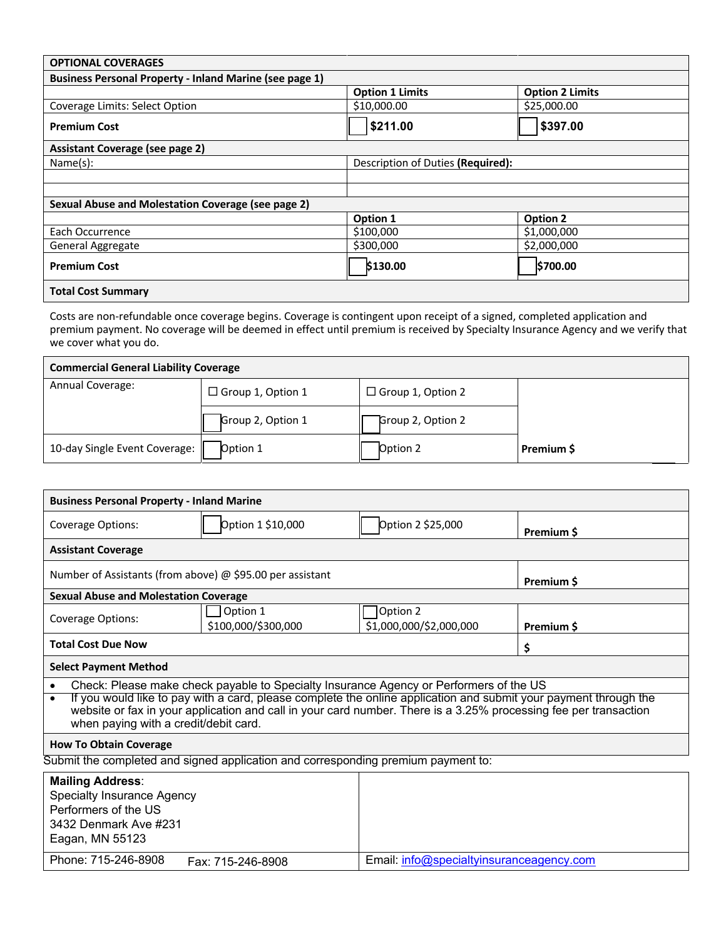| <b>OPTIONAL COVERAGES</b>                                      |                        |                                   |  |  |  |
|----------------------------------------------------------------|------------------------|-----------------------------------|--|--|--|
| <b>Business Personal Property - Inland Marine (see page 1)</b> |                        |                                   |  |  |  |
|                                                                | <b>Option 1 Limits</b> | <b>Option 2 Limits</b>            |  |  |  |
| Coverage Limits: Select Option                                 | \$10,000.00            | \$25,000.00                       |  |  |  |
| <b>Premium Cost</b>                                            | \$211.00               | \$397.00                          |  |  |  |
| Assistant Coverage (see page 2)                                |                        |                                   |  |  |  |
| Name(s):                                                       |                        | Description of Duties (Required): |  |  |  |
|                                                                |                        |                                   |  |  |  |
|                                                                |                        |                                   |  |  |  |
| Sexual Abuse and Molestation Coverage (see page 2)             |                        |                                   |  |  |  |
|                                                                | Option 1               | <b>Option 2</b>                   |  |  |  |
| Each Occurrence                                                | \$100,000              | \$1,000,000                       |  |  |  |
| General Aggregate                                              | \$300,000              | \$2,000,000                       |  |  |  |
| <b>Premium Cost</b>                                            | \$130.00               | \$700.00                          |  |  |  |
| <b>Total Cost Summary</b>                                      |                        |                                   |  |  |  |

Costs are non-refundable once coverage begins. Coverage is contingent upon receipt of a signed, completed application and premium payment. No coverage will be deemed in effect until premium is received by Specialty Insurance Agency and we verify that we cover what you do.

| <b>Commercial General Liability Coverage</b> |                          |                          |            |  |  |
|----------------------------------------------|--------------------------|--------------------------|------------|--|--|
| Annual Coverage:                             | $\Box$ Group 1, Option 1 | $\Box$ Group 1, Option 2 |            |  |  |
|                                              | Group 2, Option 1        | Group 2, Option 2        |            |  |  |
| 10-day Single Event Coverage:                | Option 1                 | Option 2                 | Premium \$ |  |  |

| <b>Business Personal Property - Inland Marine</b>                                                                                                                                                                                                                                                                                                                                                 |                                                                        |                   |            |  |  |
|---------------------------------------------------------------------------------------------------------------------------------------------------------------------------------------------------------------------------------------------------------------------------------------------------------------------------------------------------------------------------------------------------|------------------------------------------------------------------------|-------------------|------------|--|--|
| Coverage Options:                                                                                                                                                                                                                                                                                                                                                                                 | Option 1 \$10,000                                                      | Option 2 \$25,000 | Premium \$ |  |  |
| <b>Assistant Coverage</b>                                                                                                                                                                                                                                                                                                                                                                         |                                                                        |                   |            |  |  |
| Number of Assistants (from above) $\omega$ \$95.00 per assistant                                                                                                                                                                                                                                                                                                                                  | Premium \$                                                             |                   |            |  |  |
| <b>Sexual Abuse and Molestation Coverage</b>                                                                                                                                                                                                                                                                                                                                                      |                                                                        |                   |            |  |  |
| Coverage Options:                                                                                                                                                                                                                                                                                                                                                                                 | Option 2<br>Option 1<br>\$100,000/\$300,000<br>\$1,000,000/\$2,000,000 |                   | Premium \$ |  |  |
| <b>Total Cost Due Now</b>                                                                                                                                                                                                                                                                                                                                                                         | \$                                                                     |                   |            |  |  |
| <b>Select Payment Method</b>                                                                                                                                                                                                                                                                                                                                                                      |                                                                        |                   |            |  |  |
| Check: Please make check payable to Specialty Insurance Agency or Performers of the US<br>$\bullet$<br>If you would like to pay with a card, please complete the online application and submit your payment through the<br>$\bullet$<br>website or fax in your application and call in your card number. There is a 3.25% processing fee per transaction<br>when paying with a credit/debit card. |                                                                        |                   |            |  |  |
| <b>How To Obtain Coverage</b>                                                                                                                                                                                                                                                                                                                                                                     |                                                                        |                   |            |  |  |
| Submit the completed and signed application and corresponding premium payment to:                                                                                                                                                                                                                                                                                                                 |                                                                        |                   |            |  |  |
| <b>Mailing Address:</b><br>Specialty Insurance Agency<br>Performers of the US<br>3432 Denmark Ave #231<br>Eagan, MN 55123                                                                                                                                                                                                                                                                         |                                                                        |                   |            |  |  |

Phone: 715-246-8908 Fax: 715-246-8908 Email: info@specialtyinsuranceagency.com